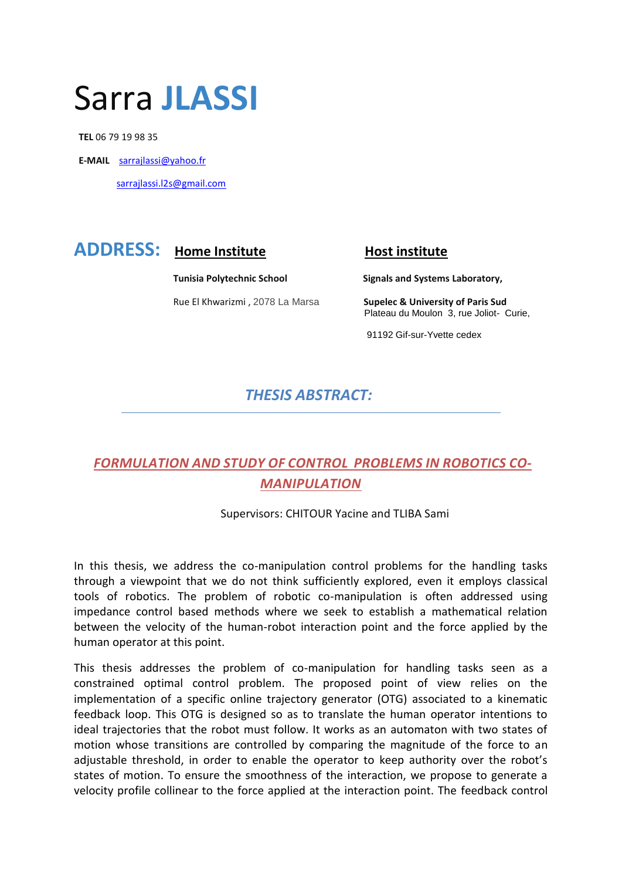# Sarra **JLASSI**

 **TEL** 06 79 19 98 35

**E-MAIL** [sarrajlassi@yahoo.fr](mailto:sarrajlassi@yahoo.fr)

sarrajlassi.l2s@gmail.com

# **ADDRESS:** Home Institute **Host institute**

Rue El Khwarizmi , 2078 La Marsa **Supelec & University of Paris Sud**

**Tunisia Polytechnic School Signals and Systems Laboratory,** 

Plateau du Moulon 3, rue Joliot- Curie,

91192 Gif-sur-Yvette cedex

### *THESIS ABSTRACT:*

## *FORMULATION AND STUDY OF CONTROL PROBLEMS IN ROBOTICS CO-MANIPULATION*

Supervisors: CHITOUR Yacine and TLIBA Sami

In this thesis, we address the co-manipulation control problems for the handling tasks through a viewpoint that we do not think sufficiently explored, even it employs classical tools of robotics. The problem of robotic co-manipulation is often addressed using impedance control based methods where we seek to establish a mathematical relation between the velocity of the human-robot interaction point and the force applied by the human operator at this point.

This thesis addresses the problem of co-manipulation for handling tasks seen as a constrained optimal control problem. The proposed point of view relies on the implementation of a specific online trajectory generator (OTG) associated to a kinematic feedback loop. This OTG is designed so as to translate the human operator intentions to ideal trajectories that the robot must follow. It works as an automaton with two states of motion whose transitions are controlled by comparing the magnitude of the force to an adjustable threshold, in order to enable the operator to keep authority over the robot's states of motion. To ensure the smoothness of the interaction, we propose to generate a velocity profile collinear to the force applied at the interaction point. The feedback control